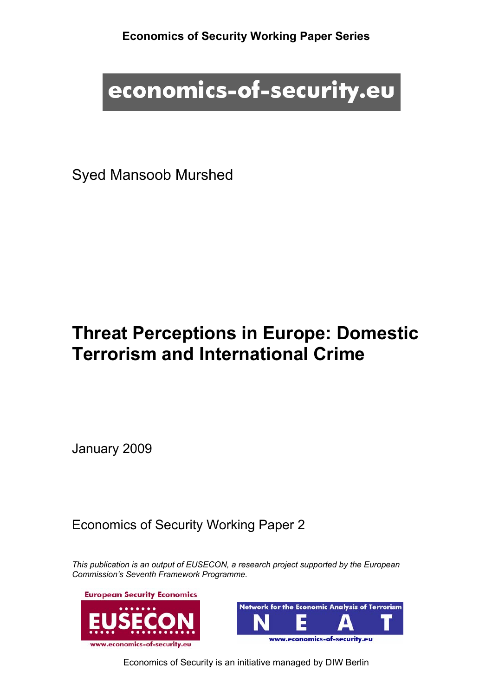# economics-of-security.eu

Syed Mansoob Murshed

# **Threat Perceptions in Europe: Domestic Terrorism and International Crime**

January 2009

Economics of Security Working Paper 2

*This publication is an output of EUSECON, a research project supported by the European Commission's Seventh Framework Programme.* 





Economics of Security is an initiative managed by DIW Berlin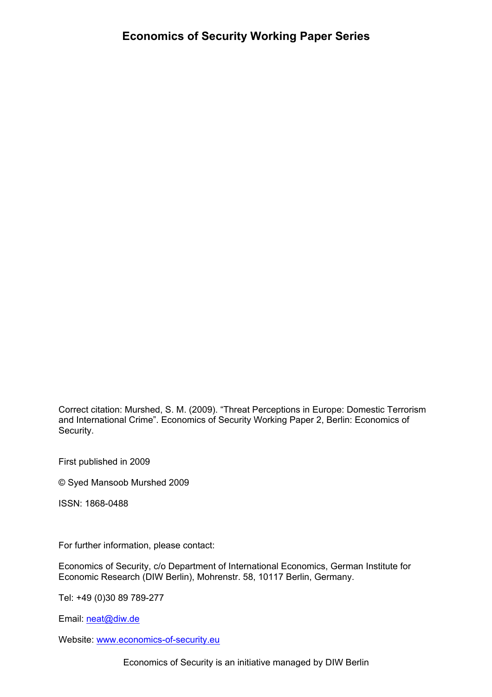Correct citation: Murshed, S. M. (2009). "Threat Perceptions in Europe: Domestic Terrorism and International Crime". Economics of Security Working Paper 2, Berlin: Economics of Security.

First published in 2009

© Syed Mansoob Murshed 2009

ISSN: 1868-0488

For further information, please contact:

Economics of Security, c/o Department of International Economics, German Institute for Economic Research (DIW Berlin), Mohrenstr. 58, 10117 Berlin, Germany.

Tel: +49 (0)30 89 789-277

Email: neat@diw.de

Website: www.economics-of-security.eu

Economics of Security is an initiative managed by DIW Berlin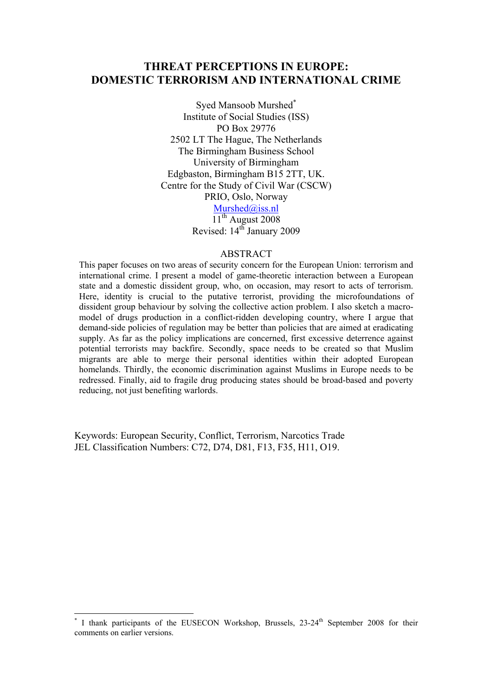# **THREAT PERCEPTIONS IN EUROPE: DOMESTIC TERRORISM AND INTERNATIONAL CRIME**

Syed Mansoob Murshed\* Institute of Social Studies (ISS) PO Box 29776 2502 LT The Hague, The Netherlands The Birmingham Business School University of Birmingham Edgbaston, Birmingham B15 2TT, UK. Centre for the Study of Civil War (CSCW) PRIO, Oslo, Norway Murshed@iss.nl  $11<sup>th</sup>$  August 2008

Revised: 14<sup>th</sup> January 2009

#### ABSTRACT

This paper focuses on two areas of security concern for the European Union: terrorism and international crime. I present a model of game-theoretic interaction between a European state and a domestic dissident group, who, on occasion, may resort to acts of terrorism. Here, identity is crucial to the putative terrorist, providing the microfoundations of dissident group behaviour by solving the collective action problem. I also sketch a macromodel of drugs production in a conflict-ridden developing country, where I argue that demand-side policies of regulation may be better than policies that are aimed at eradicating supply. As far as the policy implications are concerned, first excessive deterrence against potential terrorists may backfire. Secondly, space needs to be created so that Muslim migrants are able to merge their personal identities within their adopted European homelands. Thirdly, the economic discrimination against Muslims in Europe needs to be redressed. Finally, aid to fragile drug producing states should be broad-based and poverty reducing, not just benefiting warlords.

Keywords: European Security, Conflict, Terrorism, Narcotics Trade JEL Classification Numbers: C72, D74, D81, F13, F35, H11, O19.

<sup>\*</sup> I thank participants of the EUSECON Workshop, Brussels, 23-24<sup>th</sup> September 2008 for their comments on earlier versions.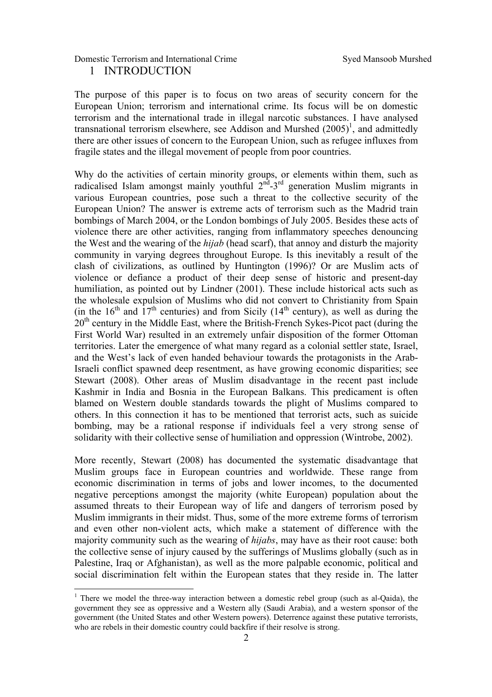#### 1 INTRODUCTION

 $\overline{a}$ 

The purpose of this paper is to focus on two areas of security concern for the European Union; terrorism and international crime. Its focus will be on domestic terrorism and the international trade in illegal narcotic substances. I have analysed transnational terrorism elsewhere, see Addison and Murshed  $(2005)^1$ , and admittedly there are other issues of concern to the European Union, such as refugee influxes from fragile states and the illegal movement of people from poor countries.

Why do the activities of certain minority groups, or elements within them, such as radicalised Islam amongst mainly youthful  $2<sup>nd</sup>-3<sup>rd</sup>$  generation Muslim migrants in various European countries, pose such a threat to the collective security of the European Union? The answer is extreme acts of terrorism such as the Madrid train bombings of March 2004, or the London bombings of July 2005. Besides these acts of violence there are other activities, ranging from inflammatory speeches denouncing the West and the wearing of the *hijab* (head scarf), that annoy and disturb the majority community in varying degrees throughout Europe. Is this inevitably a result of the clash of civilizations, as outlined by Huntington (1996)? Or are Muslim acts of violence or defiance a product of their deep sense of historic and present-day humiliation, as pointed out by Lindner (2001). These include historical acts such as the wholesale expulsion of Muslims who did not convert to Christianity from Spain (in the 16<sup>th</sup> and  $17<sup>th</sup>$  centuries) and from Sicily (14<sup>th</sup> century), as well as during the  $20<sup>th</sup>$  century in the Middle East, where the British-French Sykes-Picot pact (during the First World War) resulted in an extremely unfair disposition of the former Ottoman territories. Later the emergence of what many regard as a colonial settler state, Israel, and the West's lack of even handed behaviour towards the protagonists in the Arab-Israeli conflict spawned deep resentment, as have growing economic disparities; see Stewart (2008). Other areas of Muslim disadvantage in the recent past include Kashmir in India and Bosnia in the European Balkans. This predicament is often blamed on Western double standards towards the plight of Muslims compared to others. In this connection it has to be mentioned that terrorist acts, such as suicide bombing, may be a rational response if individuals feel a very strong sense of solidarity with their collective sense of humiliation and oppression (Wintrobe, 2002).

More recently, Stewart (2008) has documented the systematic disadvantage that Muslim groups face in European countries and worldwide. These range from economic discrimination in terms of jobs and lower incomes, to the documented negative perceptions amongst the majority (white European) population about the assumed threats to their European way of life and dangers of terrorism posed by Muslim immigrants in their midst. Thus, some of the more extreme forms of terrorism and even other non-violent acts, which make a statement of difference with the majority community such as the wearing of *hijabs*, may have as their root cause: both the collective sense of injury caused by the sufferings of Muslims globally (such as in Palestine, Iraq or Afghanistan), as well as the more palpable economic, political and social discrimination felt within the European states that they reside in. The latter

<sup>&</sup>lt;sup>1</sup> There we model the three-way interaction between a domestic rebel group (such as al-Qaida), the government they see as oppressive and a Western ally (Saudi Arabia), and a western sponsor of the government (the United States and other Western powers). Deterrence against these putative terrorists, who are rebels in their domestic country could backfire if their resolve is strong.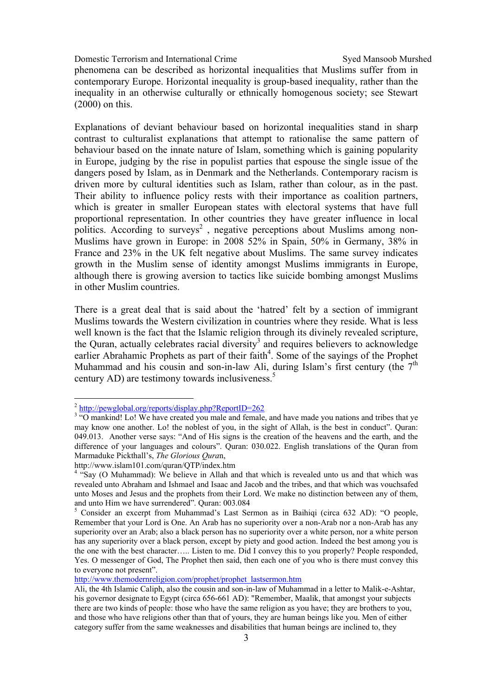Domestic Terrorism and International Crime Syed Mansoob Murshed phenomena can be described as horizontal inequalities that Muslims suffer from in contemporary Europe. Horizontal inequality is group-based inequality, rather than the inequality in an otherwise culturally or ethnically homogenous society; see Stewart (2000) on this.

Explanations of deviant behaviour based on horizontal inequalities stand in sharp contrast to culturalist explanations that attempt to rationalise the same pattern of behaviour based on the innate nature of Islam, something which is gaining popularity in Europe, judging by the rise in populist parties that espouse the single issue of the dangers posed by Islam, as in Denmark and the Netherlands. Contemporary racism is driven more by cultural identities such as Islam, rather than colour, as in the past. Their ability to influence policy rests with their importance as coalition partners, which is greater in smaller European states with electoral systems that have full proportional representation. In other countries they have greater influence in local politics. According to surveys<sup>2</sup>, negative perceptions about Muslims among non-Muslims have grown in Europe: in 2008 52% in Spain, 50% in Germany, 38% in France and 23% in the UK felt negative about Muslims. The same survey indicates growth in the Muslim sense of identity amongst Muslims immigrants in Europe, although there is growing aversion to tactics like suicide bombing amongst Muslims in other Muslim countries.

There is a great deal that is said about the 'hatred' felt by a section of immigrant Muslims towards the Western civilization in countries where they reside. What is less well known is the fact that the Islamic religion through its divinely revealed scripture, the Quran, actually celebrates racial diversity<sup>3</sup> and requires believers to acknowledge earlier Abrahamic Prophets as part of their faith<sup>4</sup>. Some of the sayings of the Prophet Muhammad and his cousin and son-in-law Ali, during Islam's first century (the  $7<sup>th</sup>$ century AD) are testimony towards inclusiveness.<sup>5</sup>

 $2 \text{ http://pewglobal.org/reports/display.php?ReportID=262}$ 

<sup>&</sup>lt;sup>3</sup> "O mankind! Lo! We have created you male and female, and have made you nations and tribes that ye may know one another. Lo! the noblest of you, in the sight of Allah, is the best in conduct". Quran: 049.013. Another verse says: "And of His signs is the creation of the heavens and the earth, and the difference of your languages and colours". Quran: 030.022. English translations of the Quran from Marmaduke Pickthall's, *The Glorious Qura*n,

http://www.islam101.com/quran/QTP/index.htm

<sup>&</sup>lt;sup>4</sup> "Say (O Muhammad): We believe in Allah and that which is revealed unto us and that which was revealed unto Abraham and Ishmael and Isaac and Jacob and the tribes, and that which was vouchsafed unto Moses and Jesus and the prophets from their Lord. We make no distinction between any of them, and unto Him we have surrendered". Quran: 003.084

<sup>&</sup>lt;sup>5</sup> Consider an excerpt from Muhammad's Last Sermon as in Baihiqi (circa 632 AD): "O people, Remember that your Lord is One. An Arab has no superiority over a non-Arab nor a non-Arab has any superiority over an Arab; also a black person has no superiority over a white person, nor a white person has any superiority over a black person, except by piety and good action. Indeed the best among you is the one with the best character….. Listen to me. Did I convey this to you properly? People responded, Yes. O messenger of God, The Prophet then said, then each one of you who is there must convey this to everyone not present".

http://www.themodernreligion.com/prophet/prophet\_lastsermon.htm

Ali, the 4th Islamic Caliph, also the cousin and son-in-law of Muhammad in a letter to Malik-e-Ashtar, his governor designate to Egypt (circa 656-661 AD): "Remember, Maalik, that amongst your subjects there are two kinds of people: those who have the same religion as you have; they are brothers to you, and those who have religions other than that of yours, they are human beings like you. Men of either category suffer from the same weaknesses and disabilities that human beings are inclined to, they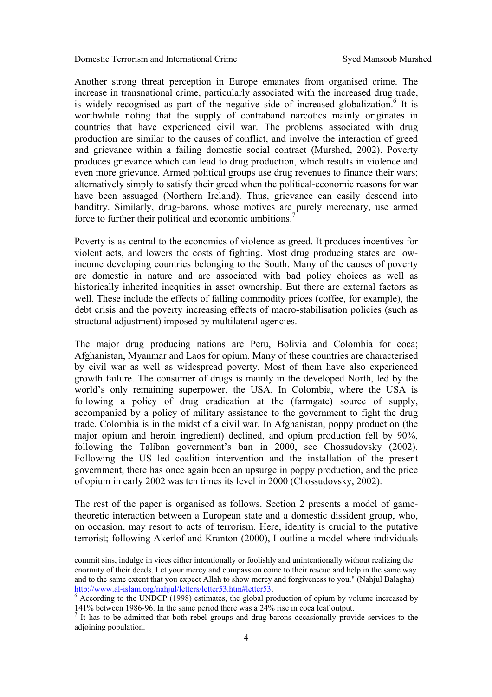Another strong threat perception in Europe emanates from organised crime. The increase in transnational crime, particularly associated with the increased drug trade, is widely recognised as part of the negative side of increased globalization.<sup>6</sup> It is worthwhile noting that the supply of contraband narcotics mainly originates in countries that have experienced civil war. The problems associated with drug production are similar to the causes of conflict, and involve the interaction of greed and grievance within a failing domestic social contract (Murshed, 2002). Poverty produces grievance which can lead to drug production, which results in violence and even more grievance. Armed political groups use drug revenues to finance their wars; alternatively simply to satisfy their greed when the political-economic reasons for war have been assuaged (Northern Ireland). Thus, grievance can easily descend into banditry. Similarly, drug-barons, whose motives are purely mercenary, use armed force to further their political and economic ambitions.<sup>7</sup>

Poverty is as central to the economics of violence as greed. It produces incentives for violent acts, and lowers the costs of fighting. Most drug producing states are lowincome developing countries belonging to the South. Many of the causes of poverty are domestic in nature and are associated with bad policy choices as well as historically inherited inequities in asset ownership. But there are external factors as well. These include the effects of falling commodity prices (coffee, for example), the debt crisis and the poverty increasing effects of macro-stabilisation policies (such as structural adjustment) imposed by multilateral agencies.

The major drug producing nations are Peru, Bolivia and Colombia for coca; Afghanistan, Myanmar and Laos for opium. Many of these countries are characterised by civil war as well as widespread poverty. Most of them have also experienced growth failure. The consumer of drugs is mainly in the developed North, led by the world's only remaining superpower, the USA. In Colombia, where the USA is following a policy of drug eradication at the (farmgate) source of supply, accompanied by a policy of military assistance to the government to fight the drug trade. Colombia is in the midst of a civil war. In Afghanistan, poppy production (the major opium and heroin ingredient) declined, and opium production fell by 90%, following the Taliban government's ban in 2000, see Chossudovsky (2002). Following the US led coalition intervention and the installation of the present government, there has once again been an upsurge in poppy production, and the price of opium in early 2002 was ten times its level in 2000 (Chossudovsky, 2002).

The rest of the paper is organised as follows. Section 2 presents a model of gametheoretic interaction between a European state and a domestic dissident group, who, on occasion, may resort to acts of terrorism. Here, identity is crucial to the putative terrorist; following Akerlof and Kranton (2000), I outline a model where individuals

commit sins, indulge in vices either intentionally or foolishly and unintentionally without realizing the enormity of their deeds. Let your mercy and compassion come to their rescue and help in the same way and to the same extent that you expect Allah to show mercy and forgiveness to you." (Nahjul Balagha) http://www.al-islam.org/nahjul/letters/letter53.htm#letter53.

 $6$  According to the UNDCP (1998) estimates, the global production of opium by volume increased by 141% between 1986-96. In the same period there was a 24% rise in coca leaf output. 7

 $\frac{7}{1}$  It has to be admitted that both rebel groups and drug-barons occasionally provide services to the adjoining population.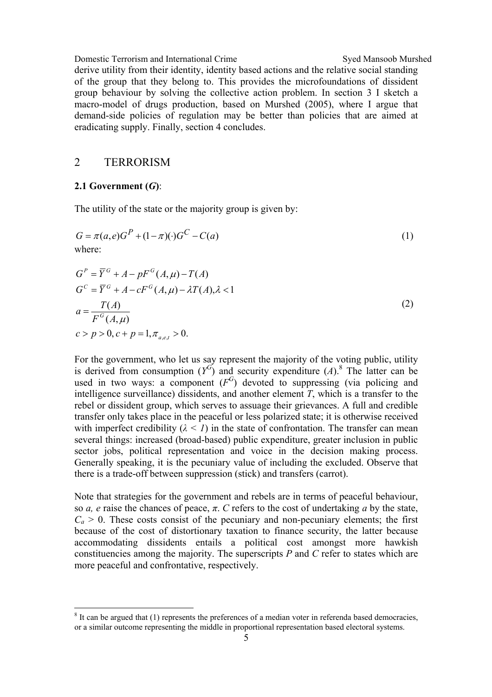Domestic Terrorism and International Crime Syed Mansoob Murshed derive utility from their identity, identity based actions and the relative social standing of the group that they belong to. This provides the microfoundations of dissident group behaviour by solving the collective action problem. In section 3 I sketch a macro-model of drugs production, based on Murshed (2005), where I argue that demand-side policies of regulation may be better than policies that are aimed at eradicating supply. Finally, section 4 concludes.

## 2 TERRORISM

#### **2.1 Government (***G***)**:

 $\overline{a}$ 

The utility of the state or the majority group is given by:

$$
G = \pi(a, e)GP + (1 - \pi)(·)GC - C(a)
$$
  
where: (1)

$$
G^{P} = \overline{Y}^{G} + A - pF^{G}(A, \mu) - T(A)
$$
  
\n
$$
G^{C} = \overline{Y}^{G} + A - cF^{G}(A, \mu) - \lambda T(A), \lambda < 1
$$
  
\n
$$
a = \frac{T(A)}{F^{G}(A, \mu)}
$$
  
\n
$$
c > p > 0, c + p = 1, \pi_{a,e,t} > 0.
$$
\n(2)

For the government, who let us say represent the majority of the voting public, utility is derived from consumption  $(Y^G)$  and security expenditure  $(A)$ .<sup>8</sup> The latter can be used in two ways: a component  $(F^G)$  devoted to suppressing (via policing and intelligence surveillance) dissidents, and another element *T*, which is a transfer to the rebel or dissident group, which serves to assuage their grievances. A full and credible transfer only takes place in the peaceful or less polarized state; it is otherwise received with imperfect credibility  $(\lambda < 1)$  in the state of confrontation. The transfer can mean several things: increased (broad-based) public expenditure, greater inclusion in public sector jobs, political representation and voice in the decision making process. Generally speaking, it is the pecuniary value of including the excluded. Observe that there is a trade-off between suppression (stick) and transfers (carrot).

Note that strategies for the government and rebels are in terms of peaceful behaviour, so *a, e* raise the chances of peace, *π*. *C* refers to the cost of undertaking *a* by the state,  $C_a > 0$ . These costs consist of the pecuniary and non-pecuniary elements; the first because of the cost of distortionary taxation to finance security, the latter because accommodating dissidents entails a political cost amongst more hawkish constituencies among the majority. The superscripts *P* and *C* refer to states which are more peaceful and confrontative, respectively.

 $8$  It can be argued that (1) represents the preferences of a median voter in referenda based democracies, or a similar outcome representing the middle in proportional representation based electoral systems.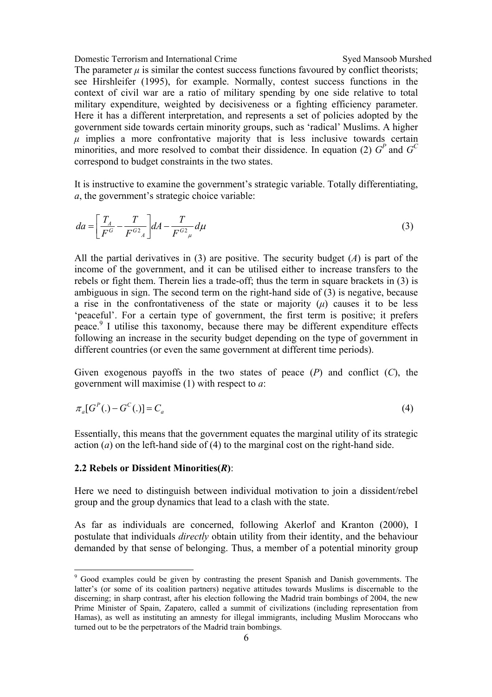The parameter  $\mu$  is similar the contest success functions favoured by conflict theorists; see Hirshleifer (1995), for example. Normally, contest success functions in the context of civil war are a ratio of military spending by one side relative to total military expenditure, weighted by decisiveness or a fighting efficiency parameter. Here it has a different interpretation, and represents a set of policies adopted by the government side towards certain minority groups, such as 'radical' Muslims. A higher  $\mu$  implies a more confrontative majority that is less inclusive towards certain minorities, and more resolved to combat their dissidence. In equation (2)  $G<sup>P</sup>$  and  $G<sup>C</sup>$ correspond to budget constraints in the two states.

It is instructive to examine the government's strategic variable. Totally differentiating, *a*, the government's strategic choice variable:

$$
da = \left[\frac{T_A}{F^G} - \frac{T}{F^{G2}A}\right]dA - \frac{T}{F^{G2}A}\mu\tag{3}
$$

All the partial derivatives in (3) are positive. The security budget (*A*) is part of the income of the government, and it can be utilised either to increase transfers to the rebels or fight them. Therein lies a trade-off; thus the term in square brackets in (3) is ambiguous in sign. The second term on the right-hand side of (3) is negative, because a rise in the confrontativeness of the state or majority  $(u)$  causes it to be less 'peaceful'. For a certain type of government, the first term is positive; it prefers peace.<sup>9</sup> I utilise this taxonomy, because there may be different expenditure effects following an increase in the security budget depending on the type of government in different countries (or even the same government at different time periods).

Given exogenous payoffs in the two states of peace (*P*) and conflict (*C*), the government will maximise (1) with respect to *a*:

$$
\pi_a[G^P(.) - G^C(.)] = C_a \tag{4}
$$

Essentially, this means that the government equates the marginal utility of its strategic action  $(a)$  on the left-hand side of  $(4)$  to the marginal cost on the right-hand side.

#### **2.2 Rebels or Dissident Minorities(***R***)**:

Here we need to distinguish between individual motivation to join a dissident/rebel group and the group dynamics that lead to a clash with the state.

As far as individuals are concerned, following Akerlof and Kranton (2000), I postulate that individuals *directly* obtain utility from their identity, and the behaviour demanded by that sense of belonging. Thus, a member of a potential minority group

<sup>&</sup>lt;sup>9</sup> Good examples could be given by contrasting the present Spanish and Danish governments. The latter's (or some of its coalition partners) negative attitudes towards Muslims is discernable to the discerning; in sharp contrast, after his election following the Madrid train bombings of 2004, the new Prime Minister of Spain, Zapatero, called a summit of civilizations (including representation from Hamas), as well as instituting an amnesty for illegal immigrants, including Muslim Moroccans who turned out to be the perpetrators of the Madrid train bombings.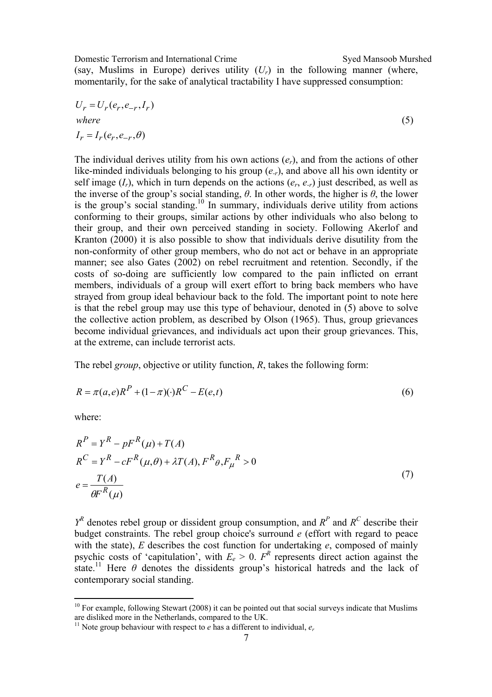Domestic Terrorism and International Crime Syed Mansoob Murshed (say, Muslims in Europe) derives utility  $(U_r)$  in the following manner (where, momentarily, for the sake of analytical tractability I have suppressed consumption:

$$
U_r = U_r(e_r, e_{-r}, I_r)
$$
  
where  

$$
I_r = I_r(e_r, e_{-r}, \theta)
$$
 (5)

The individual derives utility from his own actions (*er*), and from the actions of other like-minded individuals belonging to his group (*e-r*), and above all his own identity or self image  $(I_r)$ , which in turn depends on the actions  $(e_r, e_r)$  just described, as well as the inverse of the group's social standing,  $\theta$ . In other words, the higher is  $\theta$ , the lower is the group's social standing.<sup>10</sup> In summary, individuals derive utility from actions conforming to their groups, similar actions by other individuals who also belong to their group, and their own perceived standing in society. Following Akerlof and Kranton (2000) it is also possible to show that individuals derive disutility from the non-conformity of other group members, who do not act or behave in an appropriate manner; see also Gates (2002) on rebel recruitment and retention. Secondly, if the costs of so-doing are sufficiently low compared to the pain inflicted on errant members, individuals of a group will exert effort to bring back members who have strayed from group ideal behaviour back to the fold. The important point to note here is that the rebel group may use this type of behaviour, denoted in (5) above to solve the collective action problem, as described by Olson (1965). Thus, group grievances become individual grievances, and individuals act upon their group grievances. This, at the extreme, can include terrorist acts.

The rebel *group*, objective or utility function, *R*, takes the following form:

$$
R = \pi(a,e)RP + (1-\pi)(·)RC - E(e,t)
$$
\n(6)

where:

 $\overline{a}$ 

$$
R^{P} = Y^{R} - pF^{R}(\mu) + T(A)
$$
  
\n
$$
R^{C} = Y^{R} - cF^{R}(\mu, \theta) + \lambda T(A), F^{R} \theta, F_{\mu}{}^{R} > 0
$$
  
\n
$$
e = \frac{T(A)}{\theta F^{R}(\mu)}
$$
\n(7)

 $Y^R$  denotes rebel group or dissident group consumption, and  $R^P$  and  $R^C$  describe their budget constraints. The rebel group choice's surround *e* (effort with regard to peace with the state), *E* describes the cost function for undertaking *e*, composed of mainly psychic costs of 'capitulation', with  $E_e > 0$ .  $F<sup>R</sup>$  represents direct action against the state.<sup>11</sup> Here  $\theta$  denotes the dissidents group's historical hatreds and the lack of contemporary social standing.

 $10$  For example, following Stewart (2008) it can be pointed out that social surveys indicate that Muslims are disliked more in the Netherlands, compared to the UK.<br><sup>11</sup> Note group behaviour with respect to *e* has a different to individual, *e<sub>r</sub>*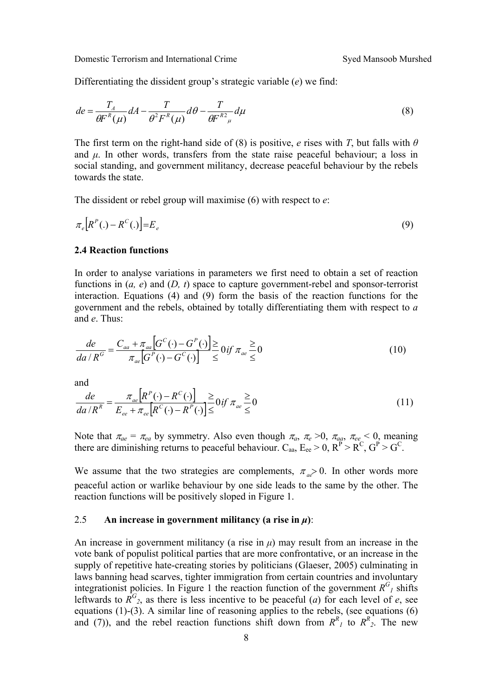Differentiating the dissident group's strategic variable (*e*) we find:

$$
de = \frac{T_A}{\theta F^R(\mu)} dA - \frac{T}{\theta^2 F^R(\mu)} d\theta - \frac{T}{\theta F^{R2}(\mu)} d\mu
$$
\n(8)

The first term on the right-hand side of (8) is positive, *e* rises with *T*, but falls with *θ* and  $\mu$ . In other words, transfers from the state raise peaceful behaviour; a loss in social standing, and government militancy, decrease peaceful behaviour by the rebels towards the state.

The dissident or rebel group will maximise (6) with respect to *e*:

$$
\pi_e[R^P(.) - R^C(.)] = E_e \tag{9}
$$

#### **2.4 Reaction functions**

In order to analyse variations in parameters we first need to obtain a set of reaction functions in (*a, e*) and (*D, t*) space to capture government-rebel and sponsor-terrorist interaction. Equations (4) and (9) form the basis of the reaction functions for the government and the rebels, obtained by totally differentiating them with respect to *a* and *e*. Thus:

$$
\frac{de}{da/R^G} = \frac{C_{aa} + \pi_{aa} \left[ G^C(\cdot) - G^P(\cdot) \right]}{\pi_{ae} \left[ G^P(\cdot) - G^C(\cdot) \right]} \leq 0 \text{ if } \pi_{ae} \leq 0 \tag{10}
$$

and

$$
\frac{de}{da/R^{R}} = \frac{\pi_{ae}[R^{P}(\cdot) - R^{C}(\cdot)]}{E_{ee} + \pi_{ee}[R^{C}(\cdot) - R^{P}(\cdot)]} \ge 0 \text{ if } \pi_{ae} \ge 0
$$
\n(11)

Note that  $\pi_{ae} = \pi_{ea}$  by symmetry. Also even though  $\pi_{a}$ ,  $\pi_{e} > 0$ ,  $\pi_{aa}$ ,  $\pi_{ee} < 0$ , meaning there are diminishing returns to peaceful behaviour.  $C_{aa}$ ,  $E_{ee} > 0$ ,  $R^P > R^C$ ,  $G^P > G^C$ .

We assume that the two strategies are complements,  $\pi_{a} > 0$ . In other words more peaceful action or warlike behaviour by one side leads to the same by the other. The reaction functions will be positively sloped in Figure 1.

#### 2.5 **An increase in government militancy (a rise in**  $\mu$ **):**

An increase in government militancy (a rise in  $\mu$ ) may result from an increase in the vote bank of populist political parties that are more confrontative, or an increase in the supply of repetitive hate-creating stories by politicians (Glaeser, 2005) culminating in laws banning head scarves, tighter immigration from certain countries and involuntary integrationist policies. In Figure 1 the reaction function of the government  $R^{G}$ <sub>I</sub> shifts leftwards to  $\overline{R}^G_2$ , as there is less incentive to be peaceful (*a*) for each level of *e*, see equations (1)-(3). A similar line of reasoning applies to the rebels, (see equations (6) and (7)), and the rebel reaction functions shift down from  $R_{1}^{R}$  to  $R_{2}^{R}$ . The new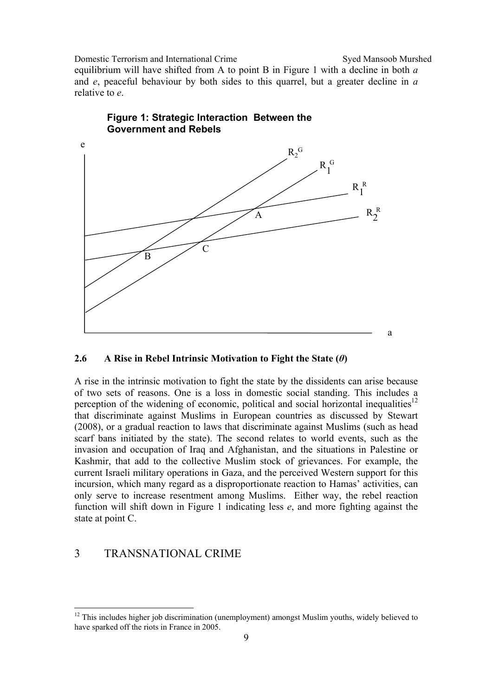Domestic Terrorism and International Crime Syed Mansoob Murshed equilibrium will have shifted from A to point B in Figure 1 with a decline in both *a* and *e*, peaceful behaviour by both sides to this quarrel, but a greater decline in *a* relative to *e*.





#### **2.6 A Rise in Rebel Intrinsic Motivation to Fight the State (***θ***)**

A rise in the intrinsic motivation to fight the state by the dissidents can arise because of two sets of reasons. One is a loss in domestic social standing. This includes a perception of the widening of economic, political and social horizontal inequalities<sup>12</sup> that discriminate against Muslims in European countries as discussed by Stewart (2008), or a gradual reaction to laws that discriminate against Muslims (such as head scarf bans initiated by the state). The second relates to world events, such as the invasion and occupation of Iraq and Afghanistan, and the situations in Palestine or Kashmir, that add to the collective Muslim stock of grievances. For example, the current Israeli military operations in Gaza, and the perceived Western support for this incursion, which many regard as a disproportionate reaction to Hamas' activities, can only serve to increase resentment among Muslims. Either way, the rebel reaction function will shift down in Figure 1 indicating less *e*, and more fighting against the state at point C.

# 3 TRANSNATIONAL CRIME

 $12$  This includes higher job discrimination (unemployment) amongst Muslim youths, widely believed to have sparked off the riots in France in 2005.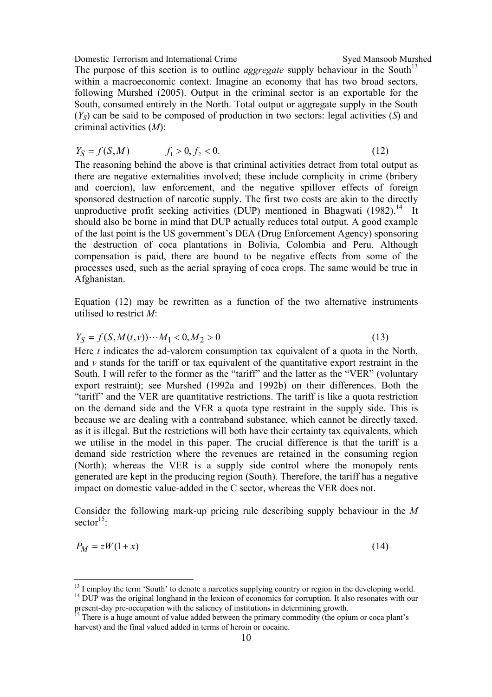The purpose of this section is to outline *aggregate* supply behaviour in the South<sup>13</sup> within a macroeconomic context. Imagine an economy that has two broad sectors, following Murshed (2005). Output in the criminal sector is an exportable for the South, consumed entirely in the North. Total output or aggregate supply in the South (*YS*) can be said to be composed of production in two sectors: legal activities (*S*) and criminal activities (*M*):

$$
Y_S = f(S, M) \qquad f_1 > 0, f_2 < 0. \tag{12}
$$

The reasoning behind the above is that criminal activities detract from total output as there are negative externalities involved; these include complicity in crime (bribery and coercion), law enforcement, and the negative spillover effects of foreign sponsored destruction of narcotic supply. The first two costs are akin to the directly unproductive profit seeking activities (DUP) mentioned in Bhagwati  $(1982)$ <sup>14</sup> It should also be borne in mind that DUP actually reduces total output. A good example of the last point is the US government's DEA (Drug Enforcement Agency) sponsoring the destruction of coca plantations in Bolivia, Colombia and Peru. Although compensation is paid, there are bound to be negative effects from some of the processes used, such as the aerial spraying of coca crops. The same would be true in Afghanistan.

Equation (12) may be rewritten as a function of the two alternative instruments utilised to restrict *M*:

$$
Y_S = f(S, M(t, v)) \cdots M_1 < 0, M_2 > 0 \tag{13}
$$

Here *t* indicates the ad-valorem consumption tax equivalent of a quota in the North, and  $\nu$  stands for the tariff or tax equivalent of the quantitative export restraint in the South. I will refer to the former as the "tariff" and the latter as the "VER" (voluntary export restraint); see Murshed (1992a and 1992b) on their differences. Both the "tariff" and the VER are quantitative restrictions. The tariff is like a quota restriction on the demand side and the VER a quota type restraint in the supply side. This is because we are dealing with a contraband substance, which cannot be directly taxed, as it is illegal. But the restrictions will both have their certainty tax equivalents, which we utilise in the model in this paper. The crucial difference is that the tariff is a demand side restriction where the revenues are retained in the consuming region (North); whereas the VER is a supply side control where the monopoly rents generated are kept in the producing region (South). Therefore, the tariff has a negative impact on domestic value-added in the C sector, whereas the VER does not.

Consider the following mark-up pricing rule describing supply behaviour in the *M* sector $15$ .

$$
P_M = zW(1+x) \tag{14}
$$

 $<sup>13</sup>$  I employ the term 'South' to denote a narcotics supplying country or region in the developing world.</sup> <sup>14</sup> DUP was the original longhand in the lexicon of economics for corruption. It also resonates with our

present-day pre-occupation with the saliency of institutions in determining growth. <sup>15</sup> There is a huge amount of value added between the primary commodity (the opium or coca plant's

harvest) and the final valued added in terms of heroin or cocaine.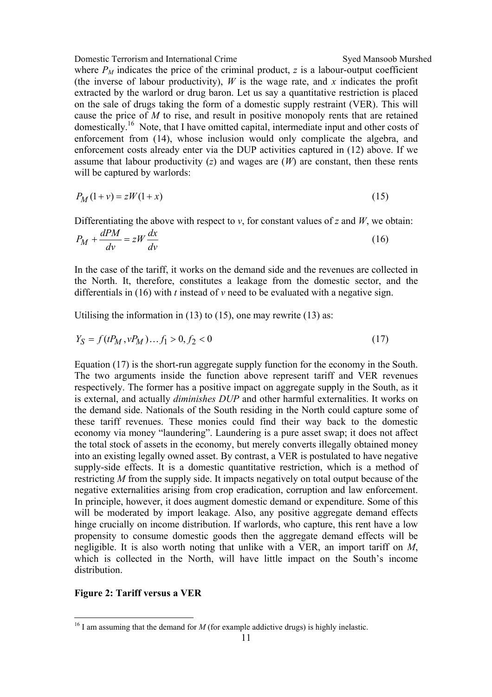where  $P_M$  indicates the price of the criminal product, *z* is a labour-output coefficient (the inverse of labour productivity),  $W$  is the wage rate, and  $x$  indicates the profit extracted by the warlord or drug baron. Let us say a quantitative restriction is placed on the sale of drugs taking the form of a domestic supply restraint (VER). This will cause the price of *M* to rise, and result in positive monopoly rents that are retained domestically.<sup>16</sup> Note, that I have omitted capital, intermediate input and other costs of enforcement from (14), whose inclusion would only complicate the algebra, and enforcement costs already enter via the DUP activities captured in (12) above. If we assume that labour productivity  $(z)$  and wages are  $(W)$  are constant, then these rents will be captured by warlords:

$$
P_M(1+\nu) = zW(1+x) \tag{15}
$$

Differentiating the above with respect to  $v$ , for constant values of  $z$  and  $W$ , we obtain:

$$
P_M + \frac{dPM}{dv} = zW \frac{dx}{dv}
$$
\n(16)

In the case of the tariff, it works on the demand side and the revenues are collected in the North. It, therefore, constitutes a leakage from the domestic sector, and the differentials in (16) with *t* instead of *v* need to be evaluated with a negative sign.

Utilising the information in  $(13)$  to  $(15)$ , one may rewrite  $(13)$  as:

$$
Y_S = f(tP_M, vP_M) \dots f_1 > 0, f_2 < 0 \tag{17}
$$

Equation (17) is the short-run aggregate supply function for the economy in the South. The two arguments inside the function above represent tariff and VER revenues respectively. The former has a positive impact on aggregate supply in the South, as it is external, and actually *diminishes DUP* and other harmful externalities. It works on the demand side. Nationals of the South residing in the North could capture some of these tariff revenues. These monies could find their way back to the domestic economy via money "laundering". Laundering is a pure asset swap; it does not affect the total stock of assets in the economy, but merely converts illegally obtained money into an existing legally owned asset. By contrast, a VER is postulated to have negative supply-side effects. It is a domestic quantitative restriction, which is a method of restricting *M* from the supply side. It impacts negatively on total output because of the negative externalities arising from crop eradication, corruption and law enforcement. In principle, however, it does augment domestic demand or expenditure. Some of this will be moderated by import leakage. Also, any positive aggregate demand effects hinge crucially on income distribution. If warlords, who capture, this rent have a low propensity to consume domestic goods then the aggregate demand effects will be negligible. It is also worth noting that unlike with a VER, an import tariff on *M*, which is collected in the North, will have little impact on the South's income distribution.

#### **Figure 2: Tariff versus a VER**

<sup>&</sup>lt;sup>16</sup> I am assuming that the demand for *M* (for example addictive drugs) is highly inelastic.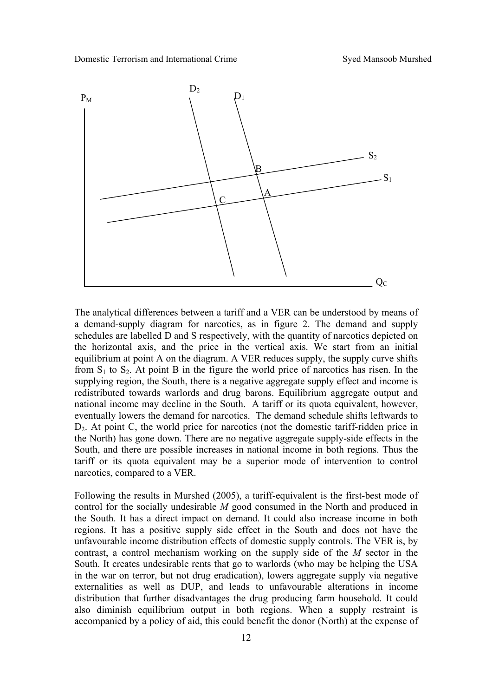

The analytical differences between a tariff and a VER can be understood by means of a demand-supply diagram for narcotics, as in figure 2. The demand and supply schedules are labelled D and S respectively, with the quantity of narcotics depicted on the horizontal axis, and the price in the vertical axis. We start from an initial equilibrium at point A on the diagram. A VER reduces supply, the supply curve shifts from  $S_1$  to  $S_2$ . At point B in the figure the world price of narcotics has risen. In the supplying region, the South, there is a negative aggregate supply effect and income is redistributed towards warlords and drug barons. Equilibrium aggregate output and national income may decline in the South. A tariff or its quota equivalent, however, eventually lowers the demand for narcotics. The demand schedule shifts leftwards to D<sub>2</sub>. At point C, the world price for narcotics (not the domestic tariff-ridden price in the North) has gone down. There are no negative aggregate supply-side effects in the South, and there are possible increases in national income in both regions. Thus the tariff or its quota equivalent may be a superior mode of intervention to control narcotics, compared to a VER.

Following the results in Murshed (2005), a tariff-equivalent is the first-best mode of control for the socially undesirable *M* good consumed in the North and produced in the South. It has a direct impact on demand. It could also increase income in both regions. It has a positive supply side effect in the South and does not have the unfavourable income distribution effects of domestic supply controls. The VER is, by contrast, a control mechanism working on the supply side of the *M* sector in the South. It creates undesirable rents that go to warlords (who may be helping the USA in the war on terror, but not drug eradication), lowers aggregate supply via negative externalities as well as DUP, and leads to unfavourable alterations in income distribution that further disadvantages the drug producing farm household. It could also diminish equilibrium output in both regions. When a supply restraint is accompanied by a policy of aid, this could benefit the donor (North) at the expense of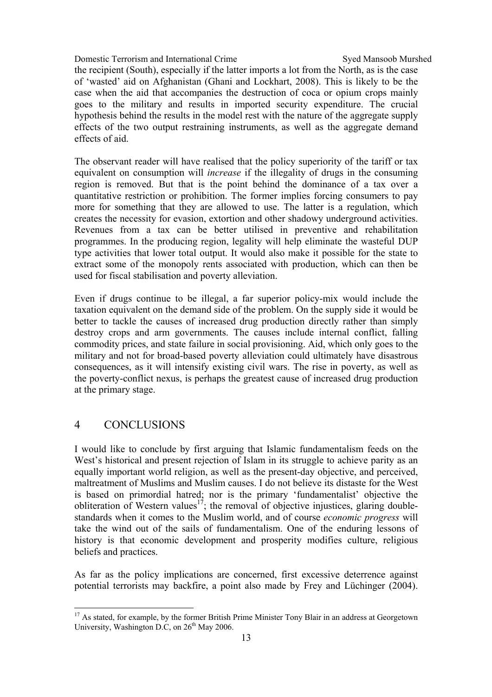the recipient (South), especially if the latter imports a lot from the North, as is the case of 'wasted' aid on Afghanistan (Ghani and Lockhart, 2008). This is likely to be the case when the aid that accompanies the destruction of coca or opium crops mainly goes to the military and results in imported security expenditure. The crucial hypothesis behind the results in the model rest with the nature of the aggregate supply effects of the two output restraining instruments, as well as the aggregate demand effects of aid.

The observant reader will have realised that the policy superiority of the tariff or tax equivalent on consumption will *increase* if the illegality of drugs in the consuming region is removed. But that is the point behind the dominance of a tax over a quantitative restriction or prohibition. The former implies forcing consumers to pay more for something that they are allowed to use. The latter is a regulation, which creates the necessity for evasion, extortion and other shadowy underground activities. Revenues from a tax can be better utilised in preventive and rehabilitation programmes. In the producing region, legality will help eliminate the wasteful DUP type activities that lower total output. It would also make it possible for the state to extract some of the monopoly rents associated with production, which can then be used for fiscal stabilisation and poverty alleviation.

Even if drugs continue to be illegal, a far superior policy-mix would include the taxation equivalent on the demand side of the problem. On the supply side it would be better to tackle the causes of increased drug production directly rather than simply destroy crops and arm governments. The causes include internal conflict, falling commodity prices, and state failure in social provisioning. Aid, which only goes to the military and not for broad-based poverty alleviation could ultimately have disastrous consequences, as it will intensify existing civil wars. The rise in poverty, as well as the poverty-conflict nexus, is perhaps the greatest cause of increased drug production at the primary stage.

## 4 CONCLUSIONS

 $\overline{a}$ 

I would like to conclude by first arguing that Islamic fundamentalism feeds on the West's historical and present rejection of Islam in its struggle to achieve parity as an equally important world religion, as well as the present-day objective, and perceived, maltreatment of Muslims and Muslim causes. I do not believe its distaste for the West is based on primordial hatred; nor is the primary 'fundamentalist' objective the obliteration of Western values<sup>17</sup>; the removal of objective injustices, glaring doublestandards when it comes to the Muslim world, and of course *economic progress* will take the wind out of the sails of fundamentalism. One of the enduring lessons of history is that economic development and prosperity modifies culture, religious beliefs and practices.

As far as the policy implications are concerned, first excessive deterrence against potential terrorists may backfire, a point also made by Frey and Lüchinger (2004).

<sup>&</sup>lt;sup>17</sup> As stated, for example, by the former British Prime Minister Tony Blair in an address at Georgetown University, Washington D.C, on  $26<sup>th</sup>$  May 2006.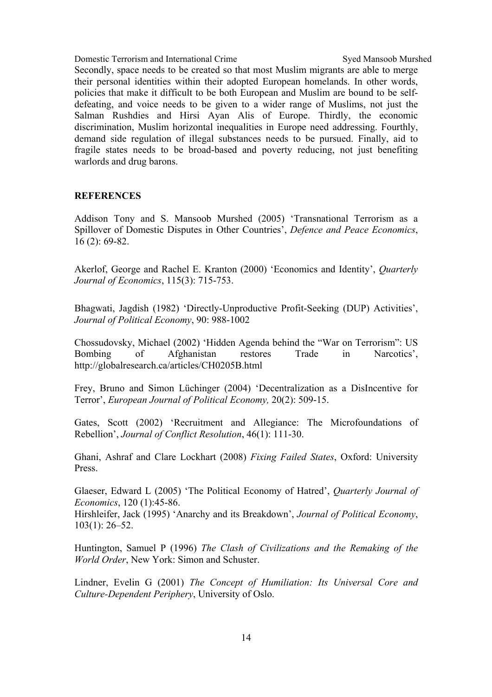Domestic Terrorism and International Crime Syed Mansoob Murshed Secondly, space needs to be created so that most Muslim migrants are able to merge their personal identities within their adopted European homelands. In other words, policies that make it difficult to be both European and Muslim are bound to be selfdefeating, and voice needs to be given to a wider range of Muslims, not just the Salman Rushdies and Hirsi Ayan Alis of Europe. Thirdly, the economic discrimination, Muslim horizontal inequalities in Europe need addressing. Fourthly, demand side regulation of illegal substances needs to be pursued. Finally, aid to fragile states needs to be broad-based and poverty reducing, not just benefiting warlords and drug barons.

#### **REFERENCES**

Addison Tony and S. Mansoob Murshed (2005) 'Transnational Terrorism as a Spillover of Domestic Disputes in Other Countries', *Defence and Peace Economics*, 16 (2): 69-82.

Akerlof, George and Rachel E. Kranton (2000) 'Economics and Identity', *Quarterly Journal of Economics*, 115(3): 715-753.

Bhagwati, Jagdish (1982) 'Directly-Unproductive Profit-Seeking (DUP) Activities', *Journal of Political Economy*, 90: 988-1002

Chossudovsky, Michael (2002) 'Hidden Agenda behind the "War on Terrorism": US Bombing of Afghanistan restores Trade in Narcotics', http://globalresearch.ca/articles/CH0205B.html

Frey, Bruno and Simon Lüchinger (2004) 'Decentralization as a DisIncentive for Terror', *European Journal of Political Economy,* 20(2): 509-15.

Gates, Scott (2002) 'Recruitment and Allegiance: The Microfoundations of Rebellion', *Journal of Conflict Resolution*, 46(1): 111-30.

Ghani, Ashraf and Clare Lockhart (2008) *Fixing Failed States*, Oxford: University Press.

Glaeser, Edward L (2005) 'The Political Economy of Hatred', *Quarterly Journal of Economics*, 120 (1):45-86.

Hirshleifer, Jack (1995) 'Anarchy and its Breakdown', *Journal of Political Economy*, 103(1): 26–52.

Huntington, Samuel P (1996) *The Clash of Civilizations and the Remaking of the World Order*, New York: Simon and Schuster.

Lindner, Evelin G (2001) *The Concept of Humiliation: Its Universal Core and Culture-Dependent Periphery*, University of Oslo.